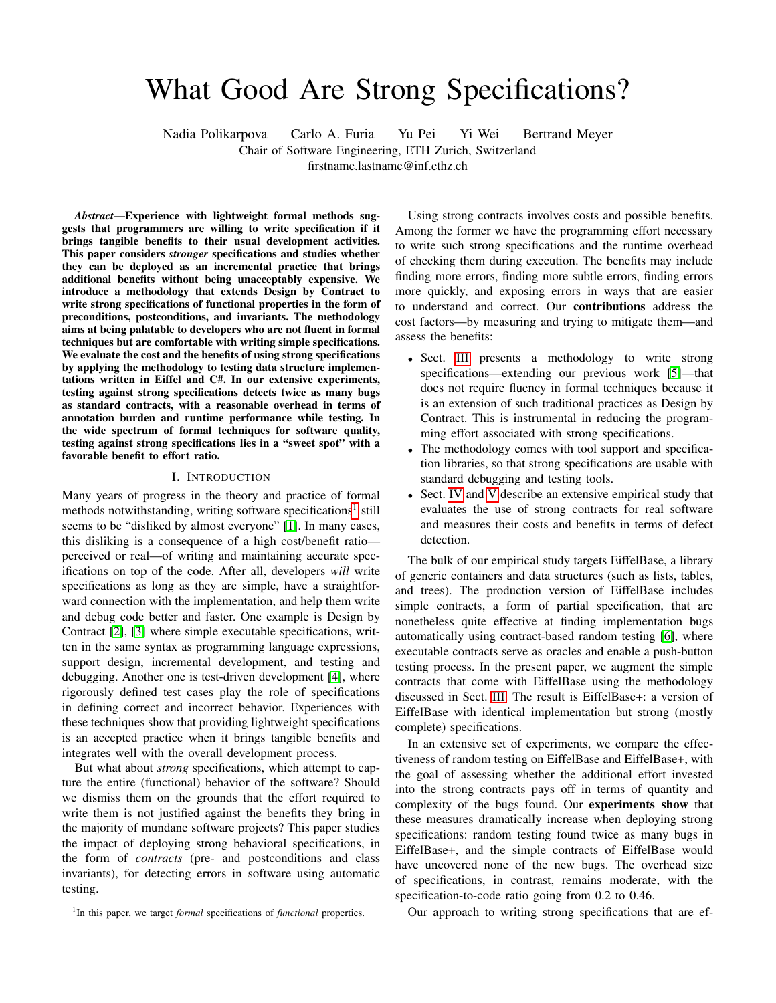# What Good Are Strong Specifications?

Nadia Polikarpova Carlo A. Furia Yu Pei Yi Wei Bertrand Meyer Chair of Software Engineering, ETH Zurich, Switzerland firstname.lastname@inf.ethz.ch

*Abstract*—Experience with lightweight formal methods suggests that programmers are willing to write specification if it brings tangible benefits to their usual development activities. This paper considers *stronger* specifications and studies whether they can be deployed as an incremental practice that brings additional benefits without being unacceptably expensive. We introduce a methodology that extends Design by Contract to write strong specifications of functional properties in the form of preconditions, postconditions, and invariants. The methodology aims at being palatable to developers who are not fluent in formal techniques but are comfortable with writing simple specifications. We evaluate the cost and the benefits of using strong specifications by applying the methodology to testing data structure implementations written in Eiffel and C#. In our extensive experiments, testing against strong specifications detects twice as many bugs as standard contracts, with a reasonable overhead in terms of annotation burden and runtime performance while testing. In the wide spectrum of formal techniques for software quality, testing against strong specifications lies in a "sweet spot" with a favorable benefit to effort ratio.

#### I. INTRODUCTION

Many years of progress in the theory and practice of formal methods notwithstanding, writing software specifications<sup>[1](#page-0-0)</sup> still seems to be "disliked by almost everyone" [\[1\]](#page-9-0). In many cases, this disliking is a consequence of a high cost/benefit ratio perceived or real—of writing and maintaining accurate specifications on top of the code. After all, developers *will* write specifications as long as they are simple, have a straightforward connection with the implementation, and help them write and debug code better and faster. One example is Design by Contract [\[2\]](#page-9-1), [\[3\]](#page-9-2) where simple executable specifications, written in the same syntax as programming language expressions, support design, incremental development, and testing and debugging. Another one is test-driven development [\[4\]](#page-9-3), where rigorously defined test cases play the role of specifications in defining correct and incorrect behavior. Experiences with these techniques show that providing lightweight specifications is an accepted practice when it brings tangible benefits and integrates well with the overall development process.

But what about *strong* specifications, which attempt to capture the entire (functional) behavior of the software? Should we dismiss them on the grounds that the effort required to write them is not justified against the benefits they bring in the majority of mundane software projects? This paper studies the impact of deploying strong behavioral specifications, in the form of *contracts* (pre- and postconditions and class invariants), for detecting errors in software using automatic testing.

Using strong contracts involves costs and possible benefits. Among the former we have the programming effort necessary to write such strong specifications and the runtime overhead of checking them during execution. The benefits may include finding more errors, finding more subtle errors, finding errors more quickly, and exposing errors in ways that are easier to understand and correct. Our contributions address the cost factors—by measuring and trying to mitigate them—and assess the benefits:

- Sect. [III](#page-1-0) presents a methodology to write strong specifications—extending our previous work [\[5\]](#page-9-4)—that does not require fluency in formal techniques because it is an extension of such traditional practices as Design by Contract. This is instrumental in reducing the programming effort associated with strong specifications.
- The methodology comes with tool support and specification libraries, so that strong specifications are usable with standard debugging and testing tools.
- Sect. [IV](#page-4-0) and [V](#page-6-0) describe an extensive empirical study that evaluates the use of strong contracts for real software and measures their costs and benefits in terms of defect detection.

The bulk of our empirical study targets EiffelBase, a library of generic containers and data structures (such as lists, tables, and trees). The production version of EiffelBase includes simple contracts, a form of partial specification, that are nonetheless quite effective at finding implementation bugs automatically using contract-based random testing [\[6\]](#page-9-5), where executable contracts serve as oracles and enable a push-button testing process. In the present paper, we augment the simple contracts that come with EiffelBase using the methodology discussed in Sect. [III.](#page-1-0) The result is EiffelBase+: a version of EiffelBase with identical implementation but strong (mostly complete) specifications.

In an extensive set of experiments, we compare the effectiveness of random testing on EiffelBase and EiffelBase+, with the goal of assessing whether the additional effort invested into the strong contracts pays off in terms of quantity and complexity of the bugs found. Our experiments show that these measures dramatically increase when deploying strong specifications: random testing found twice as many bugs in EiffelBase+, and the simple contracts of EiffelBase would have uncovered none of the new bugs. The overhead size of specifications, in contrast, remains moderate, with the specification-to-code ratio going from 0.2 to 0.46.

Our approach to writing strong specifications that are ef-

<span id="page-0-0"></span><sup>&</sup>lt;sup>1</sup>In this paper, we target *formal* specifications of *functional* properties.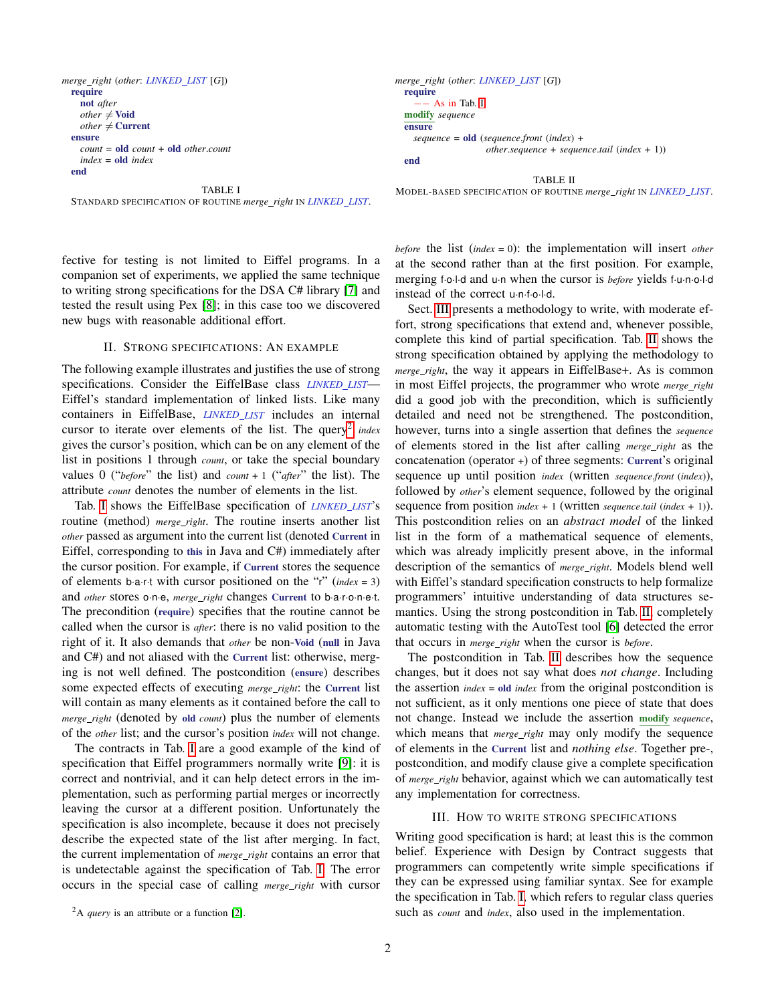```
merge right (other: LINKED LIST [G])
  require
    not after
    other \neq Void
    other \neq Current
  ensure
    count = old count + old other.count
    index = old index
  end
                                 TABLE I
```


TABLE II

<span id="page-1-2"></span>STANDARD SPECIFICATION OF ROUTINE *merge right* IN *LINKED LIST*. MODEL-BASED SPECIFICATION OF ROUTINE *merge right* IN *LINKED LIST*.

instead of the correct u·n·f·o·l·d.

fective for testing is not limited to Eiffel programs. In a companion set of experiments, we applied the same technique to writing strong specifications for the DSA C# library [\[7\]](#page-9-6) and tested the result using Pex [\[8\]](#page-9-7); in this case too we discovered new bugs with reasonable additional effort.

# II. STRONG SPECIFICATIONS: AN EXAMPLE

The following example illustrates and justifies the use of strong specifications. Consider the EiffelBase class *LINKED LIST*— Eiffel's standard implementation of linked lists. Like many containers in EiffelBase, *LINKED LIST* includes an internal cursor to iterate over elements of the list. The query<sup>[2](#page-1-1)</sup> index gives the cursor's position, which can be on any element of the list in positions 1 through *count*, or take the special boundary values 0 ("*before*" the list) and *count* + 1 ("*after*" the list). The attribute *count* denotes the number of elements in the list.

Tab. [I](#page-1-2) shows the EiffelBase specification of *LINKED LIST*'s routine (method) *merge right*. The routine inserts another list *other* passed as argument into the current list (denoted Current in Eiffel, corresponding to this in Java and C#) immediately after the cursor position. For example, if Current stores the sequence of elements b·a·r·t with cursor positioned on the "r" (*index* = 3) and *other* stores o·n·e, *merge right* changes Current to b·a·r·o·n·e·t. The precondition (require) specifies that the routine cannot be called when the cursor is *after*: there is no valid position to the right of it. It also demands that *other* be non-Void (null in Java and C#) and not aliased with the Current list: otherwise, merging is not well defined. The postcondition (ensure) describes some expected effects of executing *merge right*: the Current list will contain as many elements as it contained before the call to *merge right* (denoted by old *count*) plus the number of elements of the *other* list; and the cursor's position *index* will not change.

The contracts in Tab. [I](#page-1-2) are a good example of the kind of specification that Eiffel programmers normally write [\[9\]](#page-9-8): it is correct and nontrivial, and it can help detect errors in the implementation, such as performing partial merges or incorrectly leaving the cursor at a different position. Unfortunately the specification is also incomplete, because it does not precisely describe the expected state of the list after merging. In fact, the current implementation of *merge right* contains an error that is undetectable against the specification of Tab. [I.](#page-1-2) The error occurs in the special case of calling *merge right* with cursor <span id="page-1-3"></span>*before* the list (*index* = 0): the implementation will insert *other* at the second rather than at the first position. For example, merging f·o·l·d and u·n when the cursor is *before* yields f·u·n·o·l·d

Sect. [III](#page-1-0) presents a methodology to write, with moderate effort, strong specifications that extend and, whenever possible, complete this kind of partial specification. Tab. [II](#page-1-3) shows the strong specification obtained by applying the methodology to *merge right*, the way it appears in EiffelBase+. As is common in most Eiffel projects, the programmer who wrote *merge right* did a good job with the precondition, which is sufficiently detailed and need not be strengthened. The postcondition, however, turns into a single assertion that defines the *sequence* of elements stored in the list after calling *merge right* as the concatenation (operator +) of three segments: Current's original sequence up until position *index* (written *sequence*.*front* (*index*)), followed by *other*'s element sequence, followed by the original sequence from position *index* + 1 (written *sequence*.*tail* (*index* + 1)). This postcondition relies on an *abstract model* of the linked list in the form of a mathematical sequence of elements, which was already implicitly present above, in the informal description of the semantics of *merge right*. Models blend well with Eiffel's standard specification constructs to help formalize programmers' intuitive understanding of data structures semantics. Using the strong postcondition in Tab. [II,](#page-1-3) completely automatic testing with the AutoTest tool [\[6\]](#page-9-5) detected the error that occurs in *merge right* when the cursor is *before*.

The postcondition in Tab. [II](#page-1-3) describes how the sequence changes, but it does not say what does *not change*. Including the assertion *index* = old *index* from the original postcondition is not sufficient, as it only mentions one piece of state that does not change. Instead we include the assertion modify *sequence*, which means that *merge\_right* may only modify the sequence of elements in the Current list and *nothing else*. Together pre-, postcondition, and modify clause give a complete specification of *merge right* behavior, against which we can automatically test any implementation for correctness.

#### III. HOW TO WRITE STRONG SPECIFICATIONS

<span id="page-1-0"></span>Writing good specification is hard; at least this is the common belief. Experience with Design by Contract suggests that programmers can competently write simple specifications if they can be expressed using familiar syntax. See for example the specification in Tab. [I,](#page-1-2) which refers to regular class queries such as *count* and *index*, also used in the implementation.

<span id="page-1-1"></span><sup>2</sup>A *query* is an attribute or a function [\[2\]](#page-9-1).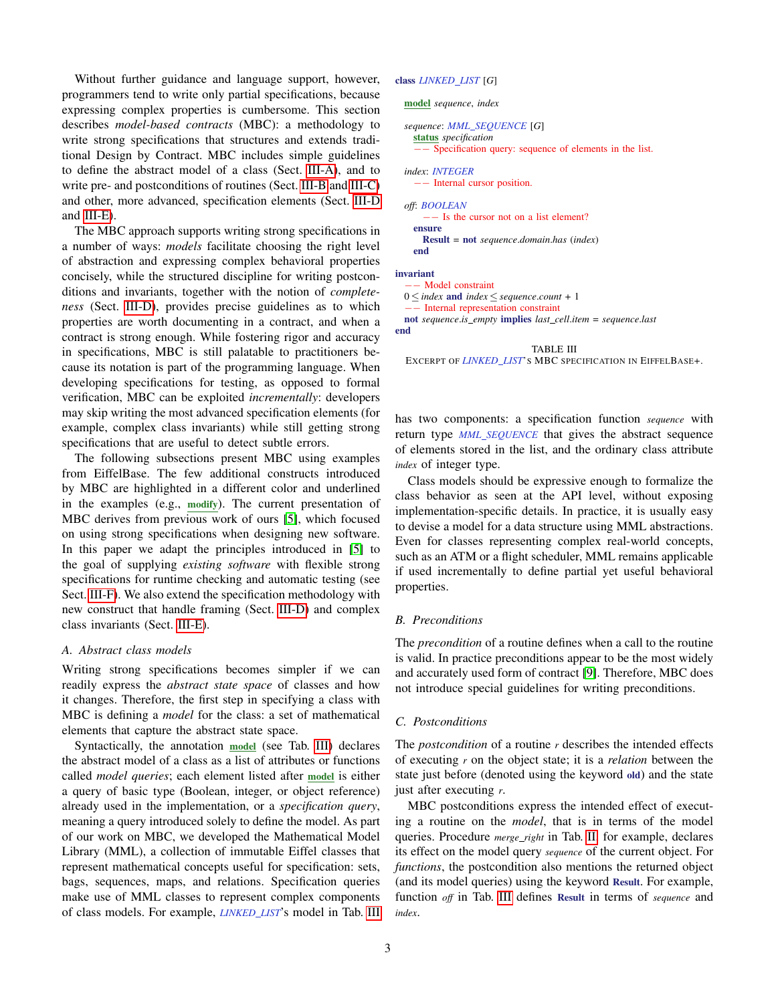Without further guidance and language support, however, programmers tend to write only partial specifications, because expressing complex properties is cumbersome. This section describes *model-based contracts* (MBC): a methodology to write strong specifications that structures and extends traditional Design by Contract. MBC includes simple guidelines to define the abstract model of a class (Sect. [III-A\)](#page-2-0), and to write pre- and postconditions of routines (Sect. [III-B](#page-2-1) and [III-C\)](#page-2-2) and other, more advanced, specification elements (Sect. [III-D](#page-3-0) and [III-E\)](#page-3-1).

The MBC approach supports writing strong specifications in a number of ways: *models* facilitate choosing the right level of abstraction and expressing complex behavioral properties concisely, while the structured discipline for writing postconditions and invariants, together with the notion of *completeness* (Sect. [III-D\)](#page-3-0), provides precise guidelines as to which properties are worth documenting in a contract, and when a contract is strong enough. While fostering rigor and accuracy in specifications, MBC is still palatable to practitioners because its notation is part of the programming language. When developing specifications for testing, as opposed to formal verification, MBC can be exploited *incrementally*: developers may skip writing the most advanced specification elements (for example, complex class invariants) while still getting strong specifications that are useful to detect subtle errors.

The following subsections present MBC using examples from EiffelBase. The few additional constructs introduced by MBC are highlighted in a different color and underlined in the examples (e.g., modify). The current presentation of MBC derives from previous work of ours [\[5\]](#page-9-4), which focused on using strong specifications when designing new software. In this paper we adapt the principles introduced in [\[5\]](#page-9-4) to the goal of supplying *existing software* with flexible strong specifications for runtime checking and automatic testing (see Sect. [III-F\)](#page-3-2). We also extend the specification methodology with new construct that handle framing (Sect. [III-D\)](#page-3-0) and complex class invariants (Sect. [III-E\)](#page-3-1).

#### <span id="page-2-0"></span>*A. Abstract class models*

Writing strong specifications becomes simpler if we can readily express the *abstract state space* of classes and how it changes. Therefore, the first step in specifying a class with MBC is defining a *model* for the class: a set of mathematical elements that capture the abstract state space.

Syntactically, the annotation model (see Tab. [III\)](#page-2-3) declares the abstract model of a class as a list of attributes or functions called *model queries*; each element listed after model is either a query of basic type (Boolean, integer, or object reference) already used in the implementation, or a *specification query*, meaning a query introduced solely to define the model. As part of our work on MBC, we developed the Mathematical Model Library (MML), a collection of immutable Eiffel classes that represent mathematical concepts useful for specification: sets, bags, sequences, maps, and relations. Specification queries make use of MML classes to represent complex components of class models. For example, *LINKED LIST*'s model in Tab. [III](#page-2-3)

# class *LINKED LIST* [*G*]

```
model sequence, index
```

```
sequence: MML SEQUENCE [G]
  status specification
    −− Specification query: sequence of elements in the list.
```

```
index: INTEGER
   −− Internal cursor position.
off: BOOLEAN
     −− Is the cursor not on a list element?
  ensure
```

```
Result = not sequence.domain.has (index)
end
```
invariant

```
−− Model constraint
```
 $0 \leq$  *index* and *index*  $\leq$  *sequence.count* + 1

```
−− Internal representation constraint
```
not *sequence*.*is empty* implies *last cell*.*item* = *sequence*.*last* end

<span id="page-2-3"></span>TABLE III EXCERPT OF *LINKED LIST*'S MBC SPECIFICATION IN EIFFELBASE+.

has two components: a specification function *sequence* with return type *MML SEQUENCE* that gives the abstract sequence of elements stored in the list, and the ordinary class attribute *index* of integer type.

Class models should be expressive enough to formalize the class behavior as seen at the API level, without exposing implementation-specific details. In practice, it is usually easy to devise a model for a data structure using MML abstractions. Even for classes representing complex real-world concepts, such as an ATM or a flight scheduler, MML remains applicable if used incrementally to define partial yet useful behavioral properties.

# <span id="page-2-1"></span>*B. Preconditions*

The *precondition* of a routine defines when a call to the routine is valid. In practice preconditions appear to be the most widely and accurately used form of contract [\[9\]](#page-9-8). Therefore, MBC does not introduce special guidelines for writing preconditions.

#### <span id="page-2-2"></span>*C. Postconditions*

The *postcondition* of a routine *r* describes the intended effects of executing *r* on the object state; it is a *relation* between the state just before (denoted using the keyword old) and the state just after executing *r*.

MBC postconditions express the intended effect of executing a routine on the *model*, that is in terms of the model queries. Procedure *merge right* in Tab. [II,](#page-1-3) for example, declares its effect on the model query *sequence* of the current object. For *functions*, the postcondition also mentions the returned object (and its model queries) using the keyword Result. For example, function *off* in Tab. [III](#page-2-3) defines Result in terms of *sequence* and *index*.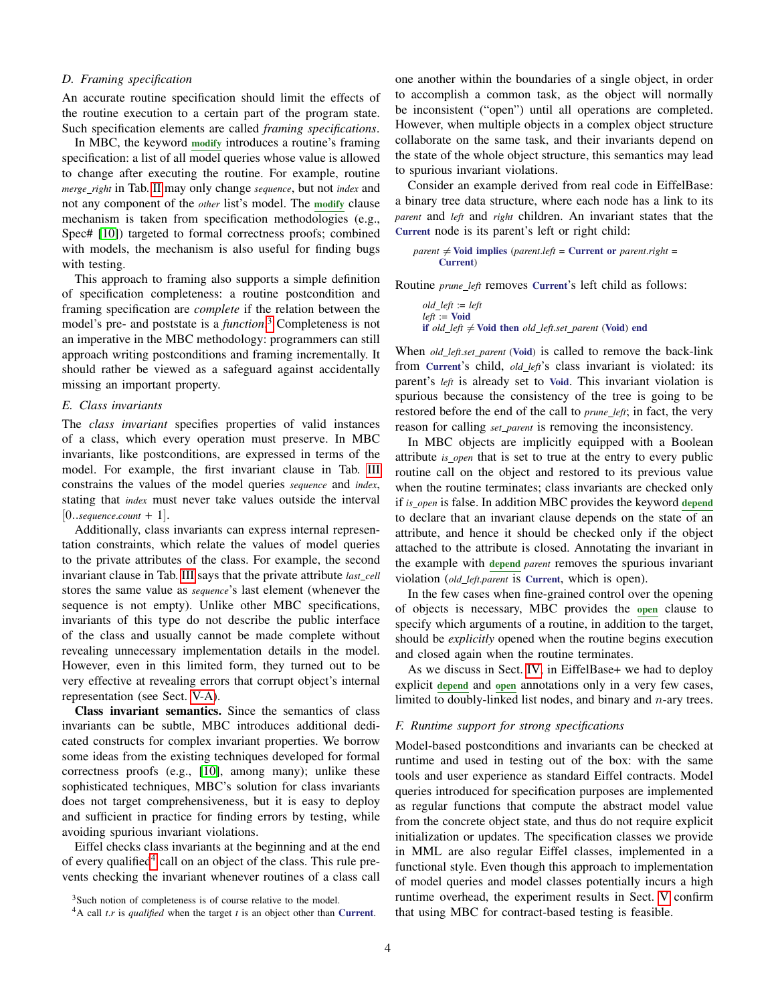## <span id="page-3-0"></span>*D. Framing specification*

An accurate routine specification should limit the effects of the routine execution to a certain part of the program state. Such specification elements are called *framing specifications*.

In MBC, the keyword modify introduces a routine's framing specification: a list of all model queries whose value is allowed to change after executing the routine. For example, routine *merge right* in Tab. [II](#page-1-3) may only change *sequence*, but not *index* and not any component of the *other* list's model. The modify clause mechanism is taken from specification methodologies (e.g., Spec# [\[10\]](#page-9-9)) targeted to formal correctness proofs; combined with models, the mechanism is also useful for finding bugs with testing.

This approach to framing also supports a simple definition of specification completeness: a routine postcondition and framing specification are *complete* if the relation between the model's pre- and poststate is a *function*. [3](#page-3-3) Completeness is not an imperative in the MBC methodology: programmers can still approach writing postconditions and framing incrementally. It should rather be viewed as a safeguard against accidentally missing an important property.

## <span id="page-3-1"></span>*E. Class invariants*

The *class invariant* specifies properties of valid instances of a class, which every operation must preserve. In MBC invariants, like postconditions, are expressed in terms of the model. For example, the first invariant clause in Tab. [III](#page-2-3) constrains the values of the model queries *sequence* and *index*, stating that *index* must never take values outside the interval  $[0..sequence.count + 1].$ 

Additionally, class invariants can express internal representation constraints, which relate the values of model queries to the private attributes of the class. For example, the second invariant clause in Tab. [III](#page-2-3) says that the private attribute *last cell* stores the same value as *sequence*'s last element (whenever the sequence is not empty). Unlike other MBC specifications, invariants of this type do not describe the public interface of the class and usually cannot be made complete without revealing unnecessary implementation details in the model. However, even in this limited form, they turned out to be very effective at revealing errors that corrupt object's internal representation (see Sect. [V-A\)](#page-6-1).

Class invariant semantics. Since the semantics of class invariants can be subtle, MBC introduces additional dedicated constructs for complex invariant properties. We borrow some ideas from the existing techniques developed for formal correctness proofs (e.g., [\[10\]](#page-9-9), among many); unlike these sophisticated techniques, MBC's solution for class invariants does not target comprehensiveness, but it is easy to deploy and sufficient in practice for finding errors by testing, while avoiding spurious invariant violations.

Eiffel checks class invariants at the beginning and at the end of every qualified<sup>[4](#page-3-4)</sup> call on an object of the class. This rule prevents checking the invariant whenever routines of a class call

one another within the boundaries of a single object, in order to accomplish a common task, as the object will normally be inconsistent ("open") until all operations are completed. However, when multiple objects in a complex object structure collaborate on the same task, and their invariants depend on the state of the whole object structure, this semantics may lead to spurious invariant violations.

Consider an example derived from real code in EiffelBase: a binary tree data structure, where each node has a link to its *parent* and *left* and *right* children. An invariant states that the Current node is its parent's left or right child:

```
parent \neq Void implies (parent.left = Current or parent.right =
      Current)
```
Routine *prune left* removes Current's left child as follows:

```
old left := left
left := Void
if old\_left \neq Void then old\_left.set\_parent (Void) end
```
When *old left*.*set parent* (Void) is called to remove the back-link from Current's child, *old left*'s class invariant is violated: its parent's *left* is already set to Void. This invariant violation is spurious because the consistency of the tree is going to be restored before the end of the call to *prune left*; in fact, the very reason for calling *set parent* is removing the inconsistency.

In MBC objects are implicitly equipped with a Boolean attribute *is open* that is set to true at the entry to every public routine call on the object and restored to its previous value when the routine terminates; class invariants are checked only if *is open* is false. In addition MBC provides the keyword depend to declare that an invariant clause depends on the state of an attribute, and hence it should be checked only if the object attached to the attribute is closed. Annotating the invariant in the example with depend *parent* removes the spurious invariant violation (*old left*.*parent* is Current, which is open).

In the few cases when fine-grained control over the opening of objects is necessary, MBC provides the open clause to specify which arguments of a routine, in addition to the target, should be *explicitly* opened when the routine begins execution and closed again when the routine terminates.

As we discuss in Sect. [IV,](#page-4-0) in EiffelBase+ we had to deploy explicit depend and open annotations only in a very few cases, limited to doubly-linked list nodes, and binary and  $n$ -ary trees.

# <span id="page-3-2"></span>*F. Runtime support for strong specifications*

Model-based postconditions and invariants can be checked at runtime and used in testing out of the box: with the same tools and user experience as standard Eiffel contracts. Model queries introduced for specification purposes are implemented as regular functions that compute the abstract model value from the concrete object state, and thus do not require explicit initialization or updates. The specification classes we provide in MML are also regular Eiffel classes, implemented in a functional style. Even though this approach to implementation of model queries and model classes potentially incurs a high runtime overhead, the experiment results in Sect. [V](#page-6-0) confirm that using MBC for contract-based testing is feasible.

<span id="page-3-3"></span><sup>&</sup>lt;sup>3</sup>Such notion of completeness is of course relative to the model.

<span id="page-3-4"></span><sup>4</sup>A call *t*.*r* is *qualified* when the target *t* is an object other than Current.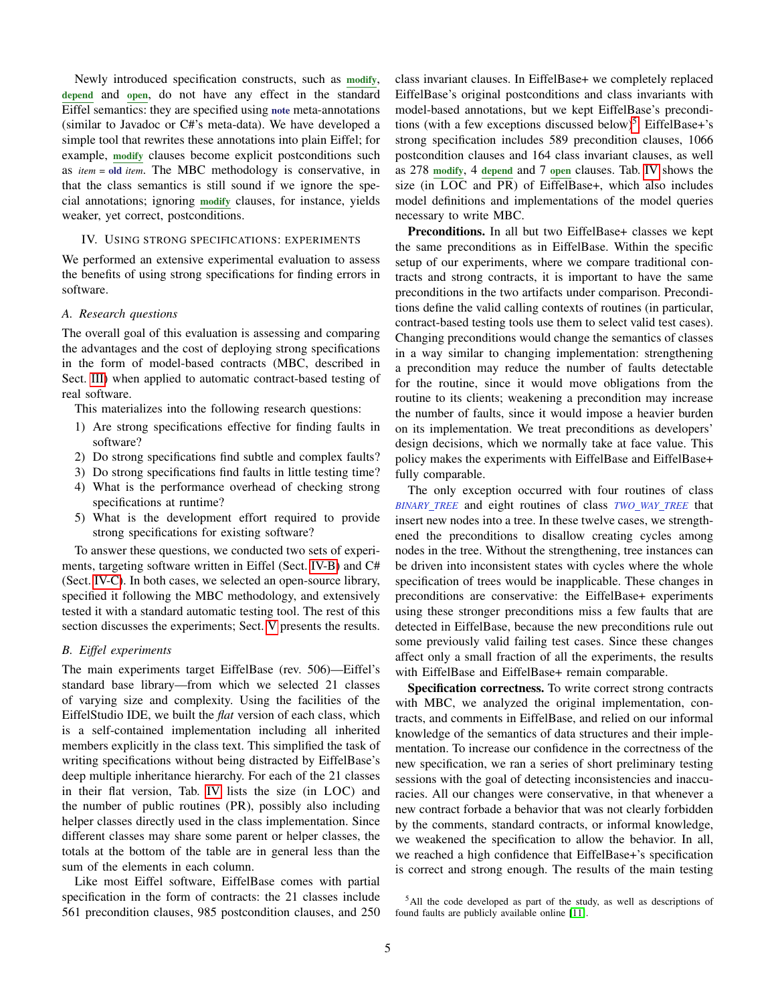Newly introduced specification constructs, such as modify, depend and open, do not have any effect in the standard Eiffel semantics: they are specified using note meta-annotations (similar to Javadoc or C#'s meta-data). We have developed a simple tool that rewrites these annotations into plain Eiffel; for example, modify clauses become explicit postconditions such as *item* = old *item*. The MBC methodology is conservative, in that the class semantics is still sound if we ignore the special annotations; ignoring modify clauses, for instance, yields weaker, yet correct, postconditions.

## <span id="page-4-0"></span>IV. USING STRONG SPECIFICATIONS: EXPERIMENTS

We performed an extensive experimental evaluation to assess the benefits of using strong specifications for finding errors in software.

# <span id="page-4-3"></span>*A. Research questions*

The overall goal of this evaluation is assessing and comparing the advantages and the cost of deploying strong specifications in the form of model-based contracts (MBC, described in Sect. [III\)](#page-1-0) when applied to automatic contract-based testing of real software.

This materializes into the following research questions:

- 1) Are strong specifications effective for finding faults in software?
- 2) Do strong specifications find subtle and complex faults?
- 3) Do strong specifications find faults in little testing time?
- 4) What is the performance overhead of checking strong specifications at runtime?
- 5) What is the development effort required to provide strong specifications for existing software?

To answer these questions, we conducted two sets of experiments, targeting software written in Eiffel (Sect. [IV-B\)](#page-4-1) and C# (Sect. [IV-C\)](#page-5-0). In both cases, we selected an open-source library, specified it following the MBC methodology, and extensively tested it with a standard automatic testing tool. The rest of this section discusses the experiments; Sect. [V](#page-6-0) presents the results.

# <span id="page-4-1"></span>*B. Eiffel experiments*

The main experiments target EiffelBase (rev. 506)—Eiffel's standard base library—from which we selected 21 classes of varying size and complexity. Using the facilities of the EiffelStudio IDE, we built the *flat* version of each class, which is a self-contained implementation including all inherited members explicitly in the class text. This simplified the task of writing specifications without being distracted by EiffelBase's deep multiple inheritance hierarchy. For each of the 21 classes in their flat version, Tab. [IV](#page-5-1) lists the size (in LOC) and the number of public routines (PR), possibly also including helper classes directly used in the class implementation. Since different classes may share some parent or helper classes, the totals at the bottom of the table are in general less than the sum of the elements in each column.

Like most Eiffel software, EiffelBase comes with partial specification in the form of contracts: the 21 classes include 561 precondition clauses, 985 postcondition clauses, and 250 class invariant clauses. In EiffelBase+ we completely replaced EiffelBase's original postconditions and class invariants with model-based annotations, but we kept EiffelBase's precondi-tions (with a few exceptions discussed below)<sup>[5](#page-4-2)</sup>. EiffelBase+'s strong specification includes 589 precondition clauses, 1066 postcondition clauses and 164 class invariant clauses, as well as 278 modify, 4 depend and 7 open clauses. Tab. [IV](#page-5-1) shows the size (in LOC and PR) of EiffelBase+, which also includes model definitions and implementations of the model queries necessary to write MBC.

Preconditions. In all but two EiffelBase+ classes we kept the same preconditions as in EiffelBase. Within the specific setup of our experiments, where we compare traditional contracts and strong contracts, it is important to have the same preconditions in the two artifacts under comparison. Preconditions define the valid calling contexts of routines (in particular, contract-based testing tools use them to select valid test cases). Changing preconditions would change the semantics of classes in a way similar to changing implementation: strengthening a precondition may reduce the number of faults detectable for the routine, since it would move obligations from the routine to its clients; weakening a precondition may increase the number of faults, since it would impose a heavier burden on its implementation. We treat preconditions as developers' design decisions, which we normally take at face value. This policy makes the experiments with EiffelBase and EiffelBase+ fully comparable.

The only exception occurred with four routines of class *BINARY TREE* and eight routines of class *TWO WAY TREE* that insert new nodes into a tree. In these twelve cases, we strengthened the preconditions to disallow creating cycles among nodes in the tree. Without the strengthening, tree instances can be driven into inconsistent states with cycles where the whole specification of trees would be inapplicable. These changes in preconditions are conservative: the EiffelBase+ experiments using these stronger preconditions miss a few faults that are detected in EiffelBase, because the new preconditions rule out some previously valid failing test cases. Since these changes affect only a small fraction of all the experiments, the results with EiffelBase and EiffelBase+ remain comparable.

Specification correctness. To write correct strong contracts with MBC, we analyzed the original implementation, contracts, and comments in EiffelBase, and relied on our informal knowledge of the semantics of data structures and their implementation. To increase our confidence in the correctness of the new specification, we ran a series of short preliminary testing sessions with the goal of detecting inconsistencies and inaccuracies. All our changes were conservative, in that whenever a new contract forbade a behavior that was not clearly forbidden by the comments, standard contracts, or informal knowledge, we weakened the specification to allow the behavior. In all, we reached a high confidence that EiffelBase+'s specification is correct and strong enough. The results of the main testing

<span id="page-4-2"></span><sup>5</sup>All the code developed as part of the study, as well as descriptions of found faults are publicly available online [\[11\]](#page-9-10).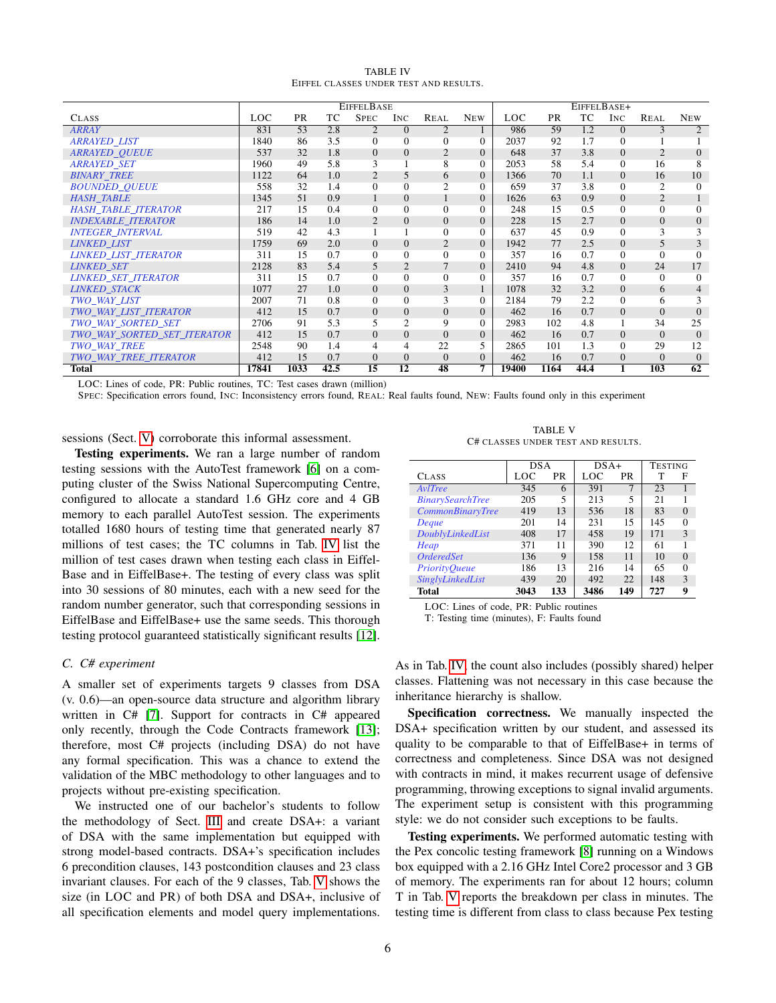| <b>TABLE IV</b>                        |  |  |  |  |  |  |  |  |
|----------------------------------------|--|--|--|--|--|--|--|--|
| EIFFEL CLASSES UNDER TEST AND RESULTS. |  |  |  |  |  |  |  |  |

<span id="page-5-1"></span>

|                             | <b>EIFFELBASE</b> |           |      |                | EIFFELBASE+    |                |                |       |           |      |          |                |            |
|-----------------------------|-------------------|-----------|------|----------------|----------------|----------------|----------------|-------|-----------|------|----------|----------------|------------|
| <b>CLASS</b>                | LOC               | <b>PR</b> | TC   | <b>SPEC</b>    | INC.           | <b>REAL</b>    | <b>NEW</b>     | LOC   | <b>PR</b> | TC   | INC.     | <b>REAL</b>    | <b>NEW</b> |
| <b>ARRAY</b>                | 831               | 53        | 2.8  | 2              | $\Omega$       | $\overline{c}$ |                | 986   | 59        | 1.2  | $\Omega$ | 3              | 2          |
| <b>ARRAYED LIST</b>         | 1840              | 86        | 3.5  | $\mathbf{0}$   | $\Omega$       | $\overline{0}$ | $\Omega$       | 2037  | 92        | 1.7  | $\Omega$ |                |            |
| <b>ARRAYED OUEUE</b>        | 537               | 32        | 1.8  | $\overline{0}$ | $\Omega$       | $\overline{2}$ | $\Omega$       | 648   | 37        | 3.8  | $\Omega$ | $\overline{c}$ | $\Omega$   |
| <b>ARRAYED SET</b>          | 1960              | 49        | 5.8  | 3              |                | 8              | 0              | 2053  | 58        | 5.4  | $\Omega$ | 16             | 8          |
| <b>BINARY TREE</b>          | 1122              | 64        | 1.0  | $\overline{2}$ | 5              | 6              | $\overline{0}$ | 1366  | 70        | 1.1  | $\Omega$ | 16             | 10         |
| <b>BOUNDED QUEUE</b>        | 558               | 32        | 1.4  | $\mathbf{0}$   | $\Omega$       | 2              | $\Omega$       | 659   | 37        | 3.8  | $\Omega$ | $\overline{2}$ | $\Omega$   |
| <b>HASH TABLE</b>           | 1345              | 51        | 0.9  | $\mathbf{1}$   | $\theta$       |                | $\Omega$       | 1626  | 63        | 0.9  | $\Omega$ | $\overline{2}$ |            |
| <b>HASH TABLE ITERATOR</b>  | 217               | 15        | 0.4  | $\mathbf{0}$   | $\Omega$       | $\mathbf{0}$   | $\Omega$       | 248   | 15        | 0.5  | 0        | $\theta$       | $\Omega$   |
| <b>INDEXABLE ITERATOR</b>   | 186               | 14        | 1.0  | $\overline{2}$ | $\Omega$       | $\overline{0}$ | $\Omega$       | 228   | 15        | 2.7  | $\Omega$ | $\Omega$       | $\Omega$   |
| <b>INTEGER INTERVAL</b>     | 519               | 42        | 4.3  |                |                | $\Omega$       | $\Omega$       | 637   | 45        | 0.9  | $\Omega$ | 3              | 3          |
| <b>LINKED LIST</b>          | 1759              | 69        | 2.0  | $\mathbf{0}$   | $\overline{0}$ | $\overline{2}$ | $\theta$       | 1942  | 77        | 2.5  | $\Omega$ | 5              |            |
| <b>LINKED LIST ITERATOR</b> | 311               | 15        | 0.7  | $\mathbf{0}$   | $\Omega$       | $\theta$       | $\Omega$       | 357   | 16        | 0.7  | $\Omega$ | $\Omega$       | $\Omega$   |
| <b>LINKED SET</b>           | 2128              | 83        | 5.4  | 5              | $\overline{2}$ | $\overline{7}$ | $\overline{0}$ | 2410  | 94        | 4.8  | $\Omega$ | 24             | 17         |
| <b>LINKED SET ITERATOR</b>  | 311               | 15        | 0.7  | $\mathbf{0}$   | $\Omega$       | $\mathbf{0}$   | $\Omega$       | 357   | 16        | 0.7  | 0        | $\Omega$       | $\Omega$   |
| <b>LINKED STACK</b>         | 1077              | 27        | 1.0  | $\theta$       | $\overline{0}$ | 3              |                | 1078  | 32        | 3.2  | $\Omega$ | 6              | 4          |
| TWO_WAY_LIST                | 2007              | 71        | 0.8  | $\mathbf{0}$   | $\Omega$       | 3              | $\Omega$       | 2184  | 79        | 2.2  | 0        | 6              | 3          |
| TWO WAY LIST ITERATOR       | 412               | 15        | 0.7  | $\overline{0}$ | $\theta$       | $\overline{0}$ | $\overline{0}$ | 462   | 16        | 0.7  | $\Omega$ | $\Omega$       | $\Omega$   |
| TWO WAY SORTED SET          | 2706              | 91        | 5.3  | 5              | 2              | 9              | $\Omega$       | 2983  | 102       | 4.8  |          | 34             | 25         |
| TWO WAY SORTED SET ITERATOR | 412               | 15        | 0.7  | $\theta$       | $\overline{0}$ | $\overline{0}$ | $\Omega$       | 462   | 16        | 0.7  | $\Omega$ | $\Omega$       | $\Omega$   |
| <b>TWO WAY TREE</b>         | 2548              | 90        | 1.4  | 4              | 4              | 22             | 5              | 2865  | 101       | 1.3  | 0        | 29             | 12         |
| TWO_WAY_TREE_ITERATOR       | 412               | 15        | 0.7  | $\overline{0}$ | $\Omega$       | $\theta$       | $\Omega$       | 462   | 16        | 0.7  | $\Omega$ | $\Omega$       | $\Omega$   |
| <b>Total</b>                | 17841             | 1033      | 42.5 | 15             | 12             | 48             | 7              | 19400 | 1164      | 44.4 |          | 103            | 62         |

LOC: Lines of code, PR: Public routines, TC: Test cases drawn (million)

SPEC: Specification errors found, INC: Inconsistency errors found, REAL: Real faults found, NEW: Faults found only in this experiment

sessions (Sect. [V\)](#page-6-0) corroborate this informal assessment.

Testing experiments. We ran a large number of random testing sessions with the AutoTest framework [\[6\]](#page-9-5) on a computing cluster of the Swiss National Supercomputing Centre, configured to allocate a standard 1.6 GHz core and 4 GB memory to each parallel AutoTest session. The experiments totalled 1680 hours of testing time that generated nearly 87 millions of test cases; the TC columns in Tab. [IV](#page-5-1) list the million of test cases drawn when testing each class in Eiffel-Base and in EiffelBase+. The testing of every class was split into 30 sessions of 80 minutes, each with a new seed for the random number generator, such that corresponding sessions in EiffelBase and EiffelBase+ use the same seeds. This thorough testing protocol guaranteed statistically significant results [\[12\]](#page-9-11).

## <span id="page-5-0"></span>*C. C# experiment*

A smaller set of experiments targets 9 classes from DSA (v. 0.6)—an open-source data structure and algorithm library written in C# [\[7\]](#page-9-6). Support for contracts in C# appeared only recently, through the Code Contracts framework [\[13\]](#page-9-12); therefore, most C# projects (including DSA) do not have any formal specification. This was a chance to extend the validation of the MBC methodology to other languages and to projects without pre-existing specification.

We instructed one of our bachelor's students to follow the methodology of Sect. [III](#page-1-0) and create DSA+: a variant of DSA with the same implementation but equipped with strong model-based contracts. DSA+'s specification includes 6 precondition clauses, 143 postcondition clauses and 23 class invariant clauses. For each of the 9 classes, Tab. [V](#page-5-2) shows the size (in LOC and PR) of both DSA and DSA+, inclusive of all specification elements and model query implementations.

TABLE V C# CLASSES UNDER TEST AND RESULTS.

<span id="page-5-2"></span>

|                         | <b>DSA</b> |     | $DSA+$ |     | <b>TESTING</b> |          |  |
|-------------------------|------------|-----|--------|-----|----------------|----------|--|
| <b>CLASS</b>            | LOC        | PR  | LOC    | PR  | т              | F        |  |
| AvlTree                 | 345        | 6   | 391    | 7   | 23             |          |  |
| <b>BinarySearchTree</b> | 205        | 5   | 213    | 5   | 21             |          |  |
| <b>CommonBinaryTree</b> | 419        | 13  | 536    | 18  | 83             | $\Omega$ |  |
| Deque                   | 201        | 14  | 231    | 15  | 145            | $\Omega$ |  |
| DoublyLinkedList        | 408        | 17  | 458    | 19  | 171            | 3        |  |
| Heap                    | 371        | 11  | 390    | 12  | 61             |          |  |
| <b>OrderedSet</b>       | 136        | 9   | 158    | 11  | 10             | $\Omega$ |  |
| <b>PriorityQueue</b>    | 186        | 13  | 216    | 14  | 65             | $\Omega$ |  |
| SinglyLinkedList        | 439        | 20  | 492    | 22  | 148            | 3        |  |
| Total                   | 3043       | 133 | 3486   | 149 | 727            | 9        |  |

LOC: Lines of code, PR: Public routines T: Testing time (minutes), F: Faults found

As in Tab. [IV,](#page-5-1) the count also includes (possibly shared) helper classes. Flattening was not necessary in this case because the inheritance hierarchy is shallow.

Specification correctness. We manually inspected the DSA+ specification written by our student, and assessed its quality to be comparable to that of EiffelBase+ in terms of correctness and completeness. Since DSA was not designed with contracts in mind, it makes recurrent usage of defensive programming, throwing exceptions to signal invalid arguments. The experiment setup is consistent with this programming style: we do not consider such exceptions to be faults.

Testing experiments. We performed automatic testing with the Pex concolic testing framework [\[8\]](#page-9-7) running on a Windows box equipped with a 2.16 GHz Intel Core2 processor and 3 GB of memory. The experiments ran for about 12 hours; column T in Tab. [V](#page-5-2) reports the breakdown per class in minutes. The testing time is different from class to class because Pex testing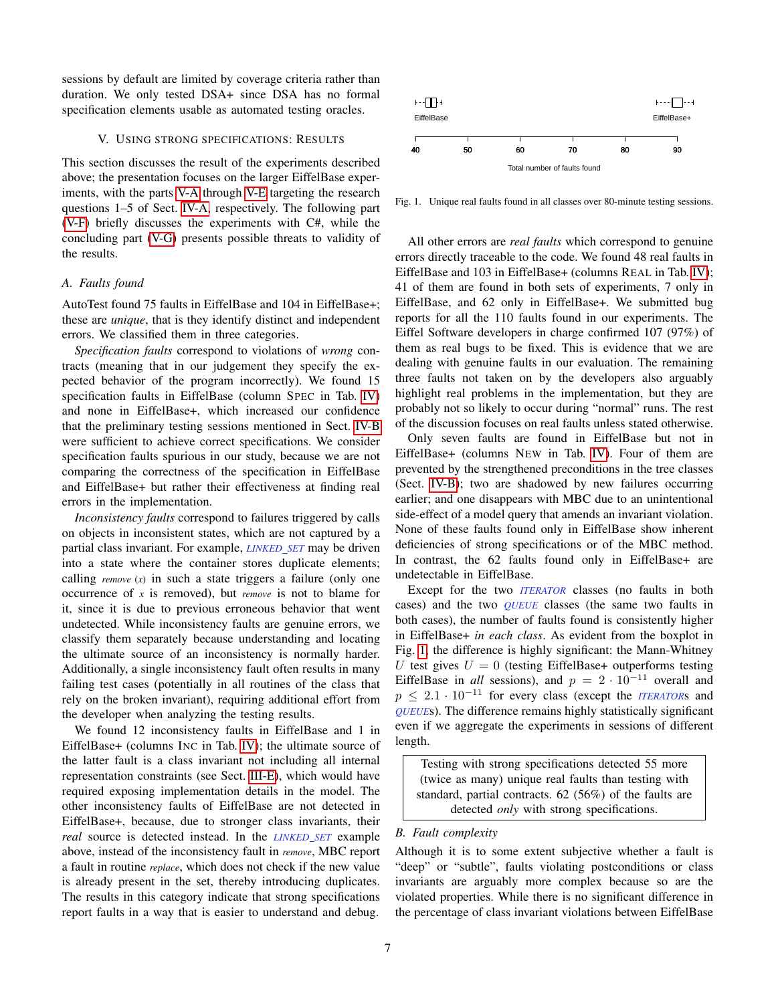sessions by default are limited by coverage criteria rather than duration. We only tested DSA+ since DSA has no formal specification elements usable as automated testing oracles.

## V. USING STRONG SPECIFICATIONS: RESULTS

<span id="page-6-0"></span>This section discusses the result of the experiments described above; the presentation focuses on the larger EiffelBase experiments, with the parts [V-A](#page-6-1) through [V-E](#page-7-0) targeting the research questions 1–5 of Sect. [IV-A,](#page-4-3) respectively. The following part [\(V-F\)](#page-8-0) briefly discusses the experiments with C#, while the concluding part [\(V-G\)](#page-8-1) presents possible threats to validity of the results.

#### <span id="page-6-1"></span>*A. Faults found*

AutoTest found 75 faults in EiffelBase and 104 in EiffelBase+; these are *unique*, that is they identify distinct and independent errors. We classified them in three categories.

*Specification faults* correspond to violations of *wrong* contracts (meaning that in our judgement they specify the expected behavior of the program incorrectly). We found 15 specification faults in EiffelBase (column SPEC in Tab. [IV\)](#page-5-1) and none in EiffelBase+, which increased our confidence that the preliminary testing sessions mentioned in Sect. [IV-B](#page-4-1) were sufficient to achieve correct specifications. We consider specification faults spurious in our study, because we are not comparing the correctness of the specification in EiffelBase and EiffelBase+ but rather their effectiveness at finding real errors in the implementation.

*Inconsistency faults* correspond to failures triggered by calls on objects in inconsistent states, which are not captured by a partial class invariant. For example, *LINKED SET* may be driven into a state where the container stores duplicate elements; calling *remove* (*x*) in such a state triggers a failure (only one occurrence of *x* is removed), but *remove* is not to blame for it, since it is due to previous erroneous behavior that went undetected. While inconsistency faults are genuine errors, we classify them separately because understanding and locating the ultimate source of an inconsistency is normally harder. Additionally, a single inconsistency fault often results in many failing test cases (potentially in all routines of the class that rely on the broken invariant), requiring additional effort from the developer when analyzing the testing results.

We found 12 inconsistency faults in EiffelBase and 1 in EiffelBase+ (columns INC in Tab. [IV\)](#page-5-1); the ultimate source of the latter fault is a class invariant not including all internal representation constraints (see Sect. [III-E\)](#page-3-1), which would have required exposing implementation details in the model. The other inconsistency faults of EiffelBase are not detected in EiffelBase+, because, due to stronger class invariants, their *real* source is detected instead. In the *LINKED SET* example above, instead of the inconsistency fault in *remove*, MBC report a fault in routine *replace*, which does not check if the new value is already present in the set, thereby introducing duplicates. The results in this category indicate that strong specifications report faults in a way that is easier to understand and debug.



<span id="page-6-2"></span>Fig. 1. Unique real faults found in all classes over 80-minute testing sessions.

All other errors are *real faults* which correspond to genuine errors directly traceable to the code. We found 48 real faults in EiffelBase and 103 in EiffelBase+ (columns REAL in Tab. [IV\)](#page-5-1); 41 of them are found in both sets of experiments, 7 only in EiffelBase, and 62 only in EiffelBase+. We submitted bug reports for all the 110 faults found in our experiments. The Eiffel Software developers in charge confirmed 107 (97%) of them as real bugs to be fixed. This is evidence that we are dealing with genuine faults in our evaluation. The remaining three faults not taken on by the developers also arguably highlight real problems in the implementation, but they are probably not so likely to occur during "normal" runs. The rest of the discussion focuses on real faults unless stated otherwise.

Only seven faults are found in EiffelBase but not in EiffelBase+ (columns NEW in Tab. [IV\)](#page-5-1). Four of them are prevented by the strengthened preconditions in the tree classes (Sect. [IV-B\)](#page-4-1); two are shadowed by new failures occurring earlier; and one disappears with MBC due to an unintentional side-effect of a model query that amends an invariant violation. None of these faults found only in EiffelBase show inherent deficiencies of strong specifications or of the MBC method. In contrast, the 62 faults found only in EiffelBase+ are undetectable in EiffelBase.

Except for the two *ITERATOR* classes (no faults in both cases) and the two *QUEUE* classes (the same two faults in both cases), the number of faults found is consistently higher in EiffelBase+ *in each class*. As evident from the boxplot in Fig. [1,](#page-6-2) the difference is highly significant: the Mann-Whitney U test gives  $U = 0$  (testing EiffelBase+ outperforms testing EiffelBase in *all* sessions), and  $p = 2 \cdot 10^{-11}$  overall and  $p \leq 2.1 \cdot 10^{-11}$  for every class (except the *ITERATOR*s and *QUEUE*s). The difference remains highly statistically significant even if we aggregate the experiments in sessions of different length.

Testing with strong specifications detected 55 more (twice as many) unique real faults than testing with standard, partial contracts. 62 (56%) of the faults are detected *only* with strong specifications.

# *B. Fault complexity*

Although it is to some extent subjective whether a fault is "deep" or "subtle", faults violating postconditions or class invariants are arguably more complex because so are the violated properties. While there is no significant difference in the percentage of class invariant violations between EiffelBase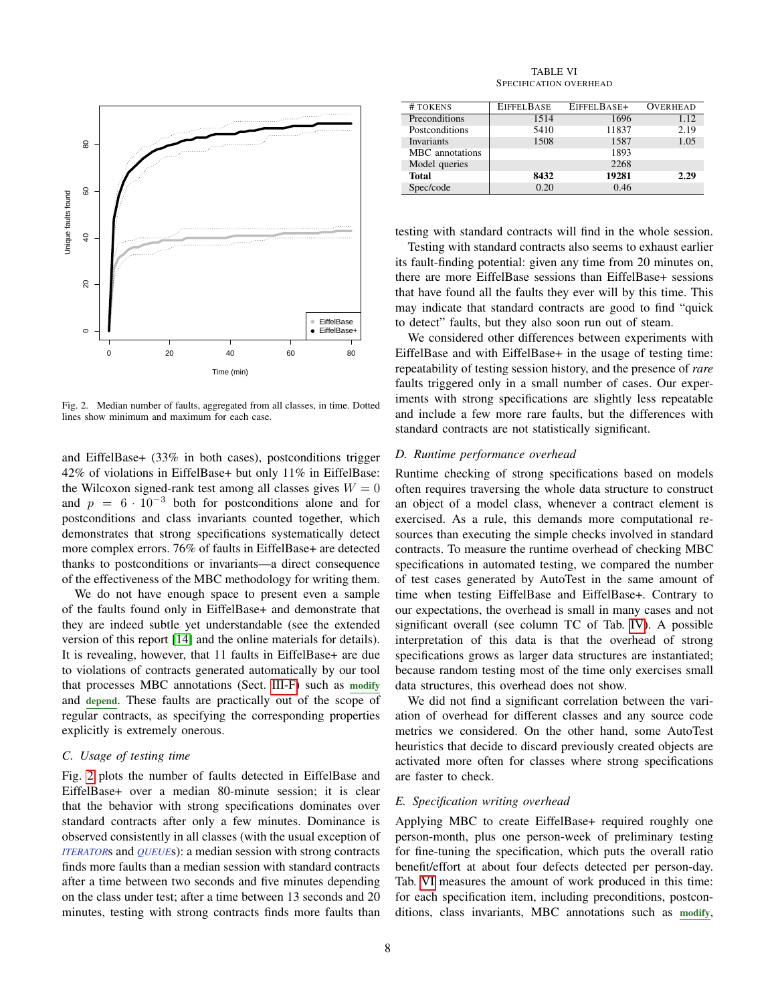

<span id="page-7-1"></span>Fig. 2. Median number of faults, aggregated from all classes, in time. Dotted lines show minimum and maximum for each case.

and EiffelBase+ (33% in both cases), postconditions trigger 42% of violations in EiffelBase+ but only 11% in EiffelBase: the Wilcoxon signed-rank test among all classes gives  $W = 0$ and  $p = 6 \cdot 10^{-3}$  both for postconditions alone and for postconditions and class invariants counted together, which demonstrates that strong specifications systematically detect more complex errors. 76% of faults in EiffelBase+ are detected thanks to postconditions or invariants—a direct consequence of the effectiveness of the MBC methodology for writing them.

We do not have enough space to present even a sample of the faults found only in EiffelBase+ and demonstrate that they are indeed subtle yet understandable (see the extended version of this report [\[14\]](#page-9-13) and the online materials for details). It is revealing, however, that 11 faults in EiffelBase+ are due to violations of contracts generated automatically by our tool that processes MBC annotations (Sect. [III-F\)](#page-3-2) such as modify and depend. These faults are practically out of the scope of regular contracts, as specifying the corresponding properties explicitly is extremely onerous.

# *C. Usage of testing time*

Fig. [2](#page-7-1) plots the number of faults detected in EiffelBase and EiffelBase+ over a median 80-minute session; it is clear that the behavior with strong specifications dominates over standard contracts after only a few minutes. Dominance is observed consistently in all classes (with the usual exception of *ITERATOR*s and *QUEUE*s): a median session with strong contracts finds more faults than a median session with standard contracts after a time between two seconds and five minutes depending on the class under test; after a time between 13 seconds and 20 minutes, testing with strong contracts finds more faults than

TABLE VI SPECIFICATION OVERHEAD

<span id="page-7-2"></span>

| # TOKENS          | EIFFEL BASE | EIFFELBASE+ | <b>OVERHEAD</b> |
|-------------------|-------------|-------------|-----------------|
| Preconditions     | 1514        | 1696        | 1.12            |
| Postconditions    | 5410        | 11837       | 2.19            |
| <b>Invariants</b> | 1508        | 1587        | 1.05            |
| MBC annotations   |             | 1893        |                 |
| Model queries     |             | 2268        |                 |
| Total             | 8432        | 19281       | 2.29            |
| Spec/code         | 0.20        | 0.46        |                 |

testing with standard contracts will find in the whole session.

Testing with standard contracts also seems to exhaust earlier its fault-finding potential: given any time from 20 minutes on, there are more EiffelBase sessions than EiffelBase+ sessions that have found all the faults they ever will by this time. This may indicate that standard contracts are good to find "quick to detect" faults, but they also soon run out of steam.

We considered other differences between experiments with EiffelBase and with EiffelBase+ in the usage of testing time: repeatability of testing session history, and the presence of *rare* faults triggered only in a small number of cases. Our experiments with strong specifications are slightly less repeatable and include a few more rare faults, but the differences with standard contracts are not statistically significant.

#### *D. Runtime performance overhead*

Runtime checking of strong specifications based on models often requires traversing the whole data structure to construct an object of a model class, whenever a contract element is exercised. As a rule, this demands more computational resources than executing the simple checks involved in standard contracts. To measure the runtime overhead of checking MBC specifications in automated testing, we compared the number of test cases generated by AutoTest in the same amount of time when testing EiffelBase and EiffelBase+. Contrary to our expectations, the overhead is small in many cases and not significant overall (see column TC of Tab. [IV\)](#page-5-1). A possible interpretation of this data is that the overhead of strong specifications grows as larger data structures are instantiated; because random testing most of the time only exercises small data structures, this overhead does not show.

We did not find a significant correlation between the variation of overhead for different classes and any source code metrics we considered. On the other hand, some AutoTest heuristics that decide to discard previously created objects are activated more often for classes where strong specifications are faster to check.

# <span id="page-7-0"></span>*E. Specification writing overhead*

Applying MBC to create EiffelBase+ required roughly one person-month, plus one person-week of preliminary testing for fine-tuning the specification, which puts the overall ratio benefit/effort at about four defects detected per person-day. Tab. [VI](#page-7-2) measures the amount of work produced in this time: for each specification item, including preconditions, postconditions, class invariants, MBC annotations such as modify,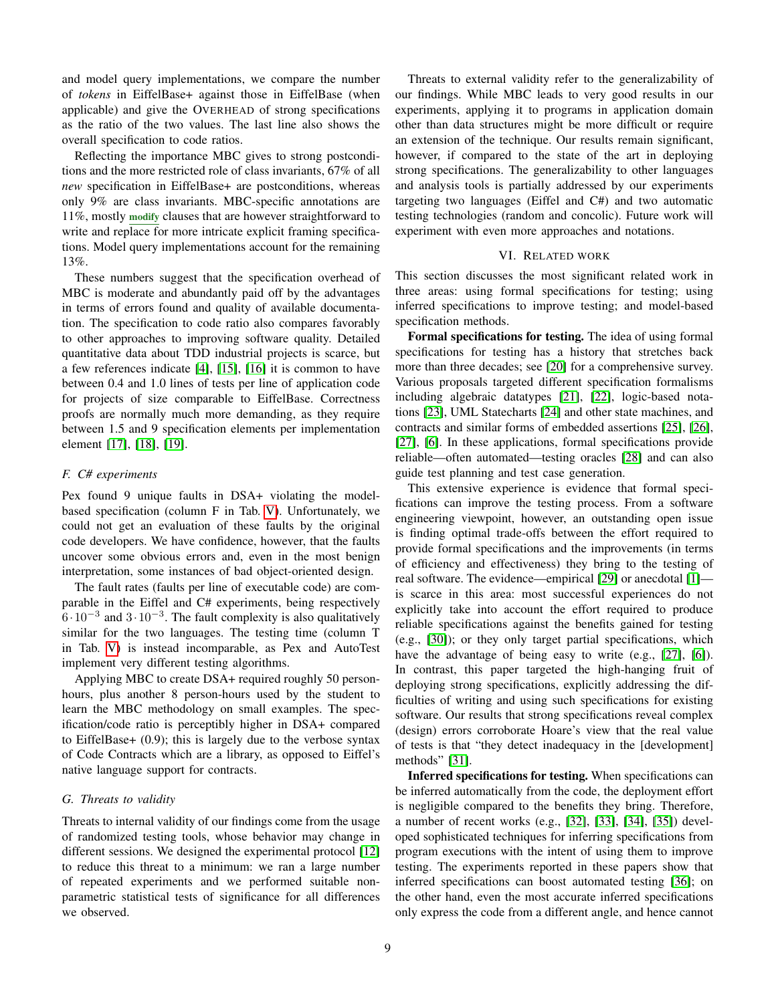and model query implementations, we compare the number of *tokens* in EiffelBase+ against those in EiffelBase (when applicable) and give the OVERHEAD of strong specifications as the ratio of the two values. The last line also shows the overall specification to code ratios.

Reflecting the importance MBC gives to strong postconditions and the more restricted role of class invariants, 67% of all *new* specification in EiffelBase+ are postconditions, whereas only 9% are class invariants. MBC-specific annotations are 11%, mostly modify clauses that are however straightforward to write and replace for more intricate explicit framing specifications. Model query implementations account for the remaining 13%.

These numbers suggest that the specification overhead of MBC is moderate and abundantly paid off by the advantages in terms of errors found and quality of available documentation. The specification to code ratio also compares favorably to other approaches to improving software quality. Detailed quantitative data about TDD industrial projects is scarce, but a few references indicate [\[4\]](#page-9-3), [\[15\]](#page-9-14), [\[16\]](#page-9-15) it is common to have between 0.4 and 1.0 lines of tests per line of application code for projects of size comparable to EiffelBase. Correctness proofs are normally much more demanding, as they require between 1.5 and 9 specification elements per implementation element [\[17\]](#page-9-16), [\[18\]](#page-9-17), [\[19\]](#page-9-18).

# <span id="page-8-0"></span>*F. C# experiments*

Pex found 9 unique faults in DSA+ violating the modelbased specification (column F in Tab. [V\)](#page-5-2). Unfortunately, we could not get an evaluation of these faults by the original code developers. We have confidence, however, that the faults uncover some obvious errors and, even in the most benign interpretation, some instances of bad object-oriented design.

The fault rates (faults per line of executable code) are comparable in the Eiffel and C# experiments, being respectively  $6·10<sup>-3</sup>$  and  $3·10<sup>-3</sup>$ . The fault complexity is also qualitatively similar for the two languages. The testing time (column T in Tab. [V\)](#page-5-2) is instead incomparable, as Pex and AutoTest implement very different testing algorithms.

Applying MBC to create DSA+ required roughly 50 personhours, plus another 8 person-hours used by the student to learn the MBC methodology on small examples. The specification/code ratio is perceptibly higher in DSA+ compared to EiffelBase+ (0.9); this is largely due to the verbose syntax of Code Contracts which are a library, as opposed to Eiffel's native language support for contracts.

# <span id="page-8-1"></span>*G. Threats to validity*

Threats to internal validity of our findings come from the usage of randomized testing tools, whose behavior may change in different sessions. We designed the experimental protocol [\[12\]](#page-9-11) to reduce this threat to a minimum: we ran a large number of repeated experiments and we performed suitable nonparametric statistical tests of significance for all differences we observed.

Threats to external validity refer to the generalizability of our findings. While MBC leads to very good results in our experiments, applying it to programs in application domain other than data structures might be more difficult or require an extension of the technique. Our results remain significant, however, if compared to the state of the art in deploying strong specifications. The generalizability to other languages and analysis tools is partially addressed by our experiments targeting two languages (Eiffel and C#) and two automatic testing technologies (random and concolic). Future work will experiment with even more approaches and notations.

# VI. RELATED WORK

This section discusses the most significant related work in three areas: using formal specifications for testing; using inferred specifications to improve testing; and model-based specification methods.

Formal specifications for testing. The idea of using formal specifications for testing has a history that stretches back more than three decades; see [\[20\]](#page-9-19) for a comprehensive survey. Various proposals targeted different specification formalisms including algebraic datatypes [\[21\]](#page-9-20), [\[22\]](#page-9-21), logic-based notations [\[23\]](#page-9-22), UML Statecharts [\[24\]](#page-9-23) and other state machines, and contracts and similar forms of embedded assertions [\[25\]](#page-9-24), [\[26\]](#page-9-25), [\[27\]](#page-9-26), [\[6\]](#page-9-5). In these applications, formal specifications provide reliable—often automated—testing oracles [\[28\]](#page-9-27) and can also guide test planning and test case generation.

This extensive experience is evidence that formal specifications can improve the testing process. From a software engineering viewpoint, however, an outstanding open issue is finding optimal trade-offs between the effort required to provide formal specifications and the improvements (in terms of efficiency and effectiveness) they bring to the testing of real software. The evidence—empirical [\[29\]](#page-9-28) or anecdotal [\[1\]](#page-9-0) is scarce in this area: most successful experiences do not explicitly take into account the effort required to produce reliable specifications against the benefits gained for testing (e.g., [\[30\]](#page-9-29)); or they only target partial specifications, which have the advantage of being easy to write (e.g., [\[27\]](#page-9-26), [\[6\]](#page-9-5)). In contrast, this paper targeted the high-hanging fruit of deploying strong specifications, explicitly addressing the difficulties of writing and using such specifications for existing software. Our results that strong specifications reveal complex (design) errors corroborate Hoare's view that the real value of tests is that "they detect inadequacy in the [development] methods" [\[31\]](#page-9-30).

Inferred specifications for testing. When specifications can be inferred automatically from the code, the deployment effort is negligible compared to the benefits they bring. Therefore, a number of recent works (e.g., [\[32\]](#page-9-31), [\[33\]](#page-9-32), [\[34\]](#page-9-33), [\[35\]](#page-9-34)) developed sophisticated techniques for inferring specifications from program executions with the intent of using them to improve testing. The experiments reported in these papers show that inferred specifications can boost automated testing [\[36\]](#page-9-35); on the other hand, even the most accurate inferred specifications only express the code from a different angle, and hence cannot